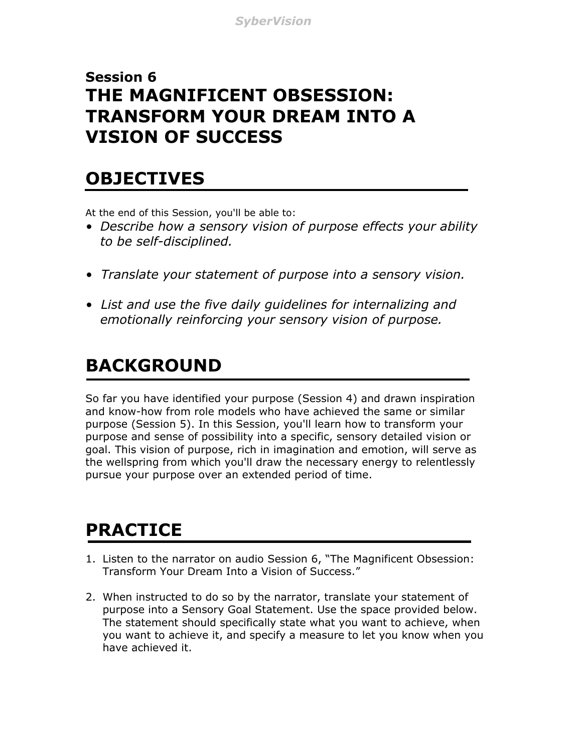### **Session 6 THE MAGNIFICENT OBSESSION: TRANSFORM YOUR DREAM INTO A VISION OF SUCCESS**

### **OBJECTIVES**

At the end of this Session, you'll be able to:

- *Describe how a sensory vision of purpose effects your ability to be self-disciplined.*
- *Translate your statement of purpose into a sensory vision.*
- *List and use the five daily guidelines for internalizing and emotionally reinforcing your sensory vision of purpose.*

## **BACKGROUND**

So far you have identified your purpose (Session 4) and drawn inspiration and know-how from role models who have achieved the same or similar purpose (Session 5). In this Session, you'll learn how to transform your purpose and sense of possibility into a specific, sensory detailed vision or goal. This vision of purpose, rich in imagination and emotion, will serve as the wellspring from which you'll draw the necessary energy to relentlessly pursue your purpose over an extended period of time.

# **PRACTICE**

- 1. Listen to the narrator on audio Session 6, "The Magnificent Obsession: Transform Your Dream Into a Vision of Success."
- 2. When instructed to do so by the narrator, translate your statement of purpose into a Sensory Goal Statement. Use the space provided below. The statement should specifically state what you want to achieve, when you want to achieve it, and specify a measure to let you know when you have achieved it.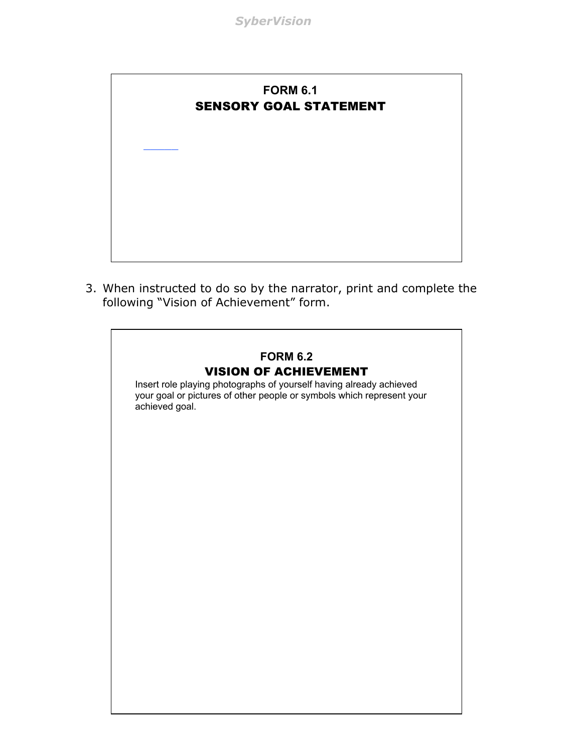

3. When instructed to do so by the narrator, print and complete the following "Vision of Achievement" form.

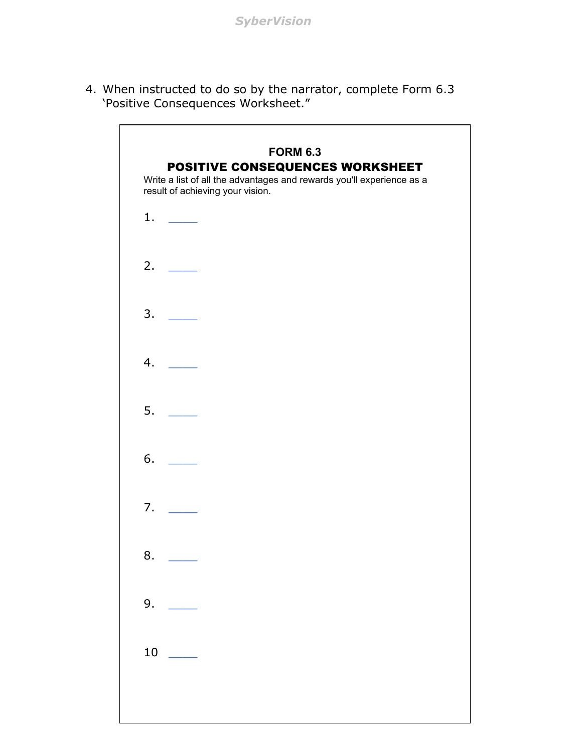4. When instructed to do so by the narrator, complete Form 6.3 'Positive Consequences Worksheet."

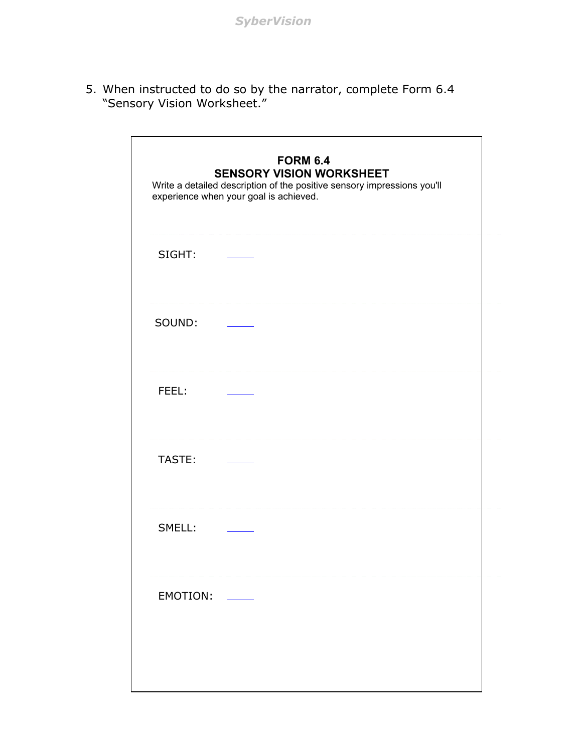5. When instructed to do so by the narrator, complete Form 6.4 "Sensory Vision Worksheet."

| <b>FORM 6.4</b><br><b>SENSORY VISION WORKSHEET</b><br>Write a detailed description of the positive sensory impressions you'll<br>experience when your goal is achieved. |  |  |
|-------------------------------------------------------------------------------------------------------------------------------------------------------------------------|--|--|
| SIGHT:                                                                                                                                                                  |  |  |
| SOUND:                                                                                                                                                                  |  |  |
| FEEL:                                                                                                                                                                   |  |  |
| TASTE:                                                                                                                                                                  |  |  |
| SMELL:                                                                                                                                                                  |  |  |
| <b>EMOTION:</b>                                                                                                                                                         |  |  |
|                                                                                                                                                                         |  |  |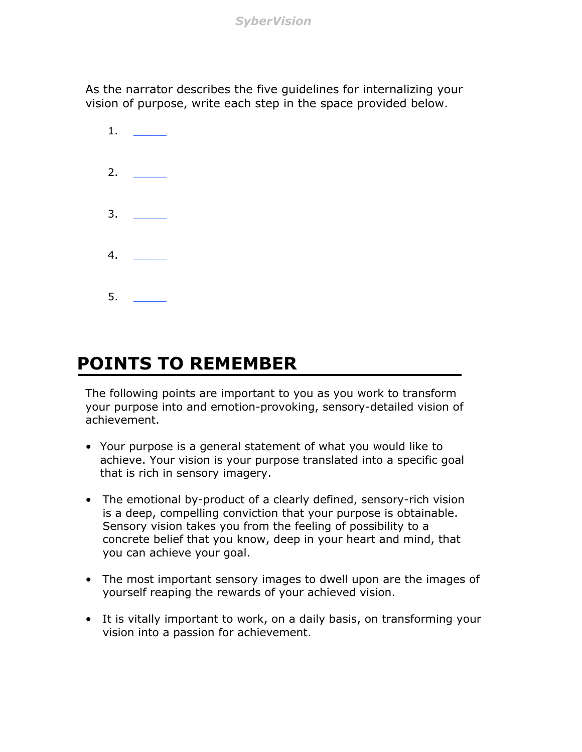*SyberVision*

As the narrator describes the five guidelines for internalizing your vision of purpose, write each step in the space provided below.



### **POINTS TO REMEMBER**

The following points are important to you as you work to transform your purpose into and emotion-provoking, sensory-detailed vision of achievement.

- Your purpose is a general statement of what you would like to achieve. Your vision is your purpose translated into a specific goal that is rich in sensory imagery.
- The emotional by-product of a clearly defined, sensory-rich vision is a deep, compelling conviction that your purpose is obtainable. Sensory vision takes you from the feeling of possibility to a concrete belief that you know, deep in your heart and mind, that you can achieve your goal.
- The most important sensory images to dwell upon are the images of yourself reaping the rewards of your achieved vision.
- It is vitally important to work, on a daily basis, on transforming your vision into a passion for achievement.